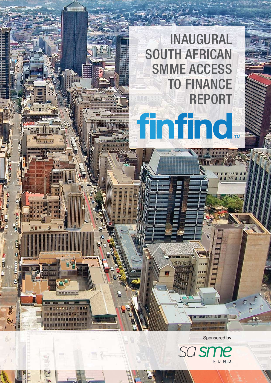

INAUGURAL

TO FINANCE

REPORT

SOUTH AFRICAN

finfind

计批批价位价

Ë

**BY 89 E** 

SMME ACCESS

Sponsored by: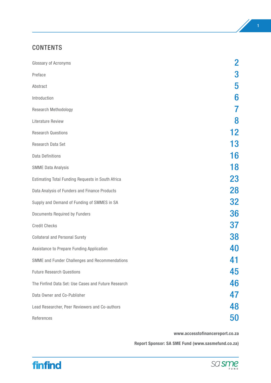# CONTENTS

| Glossary of Acronyms                                | $\overline{2}$ |
|-----------------------------------------------------|----------------|
| Preface                                             | 3              |
| Abstract                                            | 5              |
| Introduction                                        | 6              |
| Research Methodology                                | 7              |
| <b>Literature Review</b>                            | 8              |
| <b>Research Questions</b>                           | 12             |
| Research Data Set                                   | 13             |
| <b>Data Definitions</b>                             | 16             |
| <b>SMME Data Analysis</b>                           | 18             |
| Estimating Total Funding Requests in South Africa   | <b>23</b>      |
| Data Analysis of Funders and Finance Products       | 28             |
| Supply and Demand of Funding of SMMES in SA         | <b>32</b>      |
| Documents Required by Funders                       | 36             |
| <b>Credit Checks</b>                                | 37             |
| <b>Collateral and Personal Surety</b>               | <b>38</b>      |
| Assistance to Prepare Funding Application           | <b>40</b>      |
| SMME and Funder Challenges and Recommendations      | 41             |
| <b>Future Research Questions</b>                    | 45             |
| The Finfind Data Set: Use Cases and Future Research | 46             |
| Data Owner and Co-Publisher                         | 47             |
| Lead Researcher, Peer Reviewers and Co-authors      | 48             |
| References                                          | 50             |

**www.accesstofinancereport.co.za**

**Report Sponsor: SA SME Fund (www.sasmefund.co.za)**



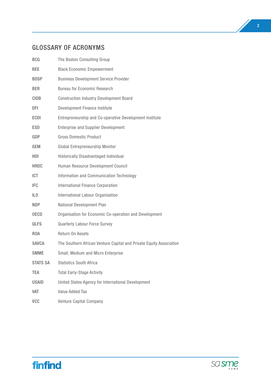# GLOSSARY OF ACRONYMS

| <b>BCG</b>      | The Boston Consulting Group                                         |
|-----------------|---------------------------------------------------------------------|
| <b>BEE</b>      | <b>Black Economic Empowerment</b>                                   |
| <b>BDSP</b>     | <b>Business Development Service Provider</b>                        |
| <b>BER</b>      | <b>Bureau for Economic Research</b>                                 |
| <b>CIDB</b>     | <b>Construction Industry Development Board</b>                      |
| DFI             | Development Finance Institute                                       |
| <b>ECDI</b>     | Entrepreneurship and Co-operative Development Institute             |
| <b>ESD</b>      | <b>Enterprise and Supplier Development</b>                          |
| GDP             | <b>Gross Domestic Product</b>                                       |
| GEM             | Global Entrepreneurship Monitor                                     |
| HDI             | <b>Historically Disadvantaged Individual</b>                        |
| <b>HRDC</b>     | Human Resource Development Council                                  |
| <b>ICT</b>      | Information and Communication Technology                            |
| <b>IFC</b>      | <b>International Finance Corporation</b>                            |
| IL <sub>0</sub> | International Labour Organisation                                   |
| <b>NDP</b>      | National Development Plan                                           |
| <b>OECD</b>     | Organisation for Economic Co-operation and Development              |
| <b>QLFS</b>     | Quarterly Labour Force Survey                                       |
| <b>ROA</b>      | Return On Assets                                                    |
| <b>SAVCA</b>    | The Southern African Venture Capital and Private Equity Association |
| <b>SMME</b>     | Small, Medium and Micro Enterprise                                  |
| <b>STATS SA</b> | <b>Statistics South Africa</b>                                      |
| TEA             | <b>Total Early-Stage Activity</b>                                   |
| <b>USAID</b>    | United States Agency for International Development                  |
| <b>VAT</b>      | Value Added Tax                                                     |
| <b>VCC</b>      | Venture Capital Company                                             |
|                 |                                                                     |



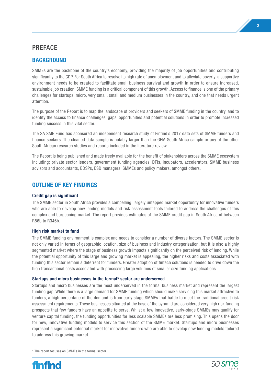# PREFACE

# **BACKGROUND**

SMMEs are the backbone of the country's economy, providing the majority of job opportunities and contributing significantly to the GDP. For South Africa to resolve its high rate of unemployment and to alleviate poverty, a supportive environment needs to be created to facilitate small business survival and growth in order to ensure increased, sustainable job creation. SMME funding is a critical component of this growth. Access to finance is one of the primary challenges for startups, micro, very small, small and medium businesses in the country, and one that needs urgent attention.

The purpose of the Report is to map the landscape of providers and seekers of SMME funding in the country, and to identify the access to finance challenges, gaps, opportunities and potential solutions in order to promote increased funding success in this vital sector.

The SA SME Fund has sponsored an independent research study of Finfind's 2017 data sets of SMME funders and finance seekers. The cleaned data sample is notably larger than the GEM South Africa sample or any of the other South African research studies and reports included in the literature review.

The Report is being published and made freely available for the benefit of stakeholders across the SMME ecosystem including; private sector lenders, government funding agencies, DFIs, incubators, accelerators, SMME business advisors and accountants, BDSPs, ESD managers, SMMEs and policy makers, amongst others.

# **OUTLINE OF KEY FINDINGS**

#### **Credit gap is significant**

The SMME sector in South Africa provides a compelling, largely untapped market opportunity for innovative funders who are able to develop new lending models and risk assessment tools tailored to address the challenges of this complex and burgeoning market. The report provides estimates of the SMME credit gap in South Africa of between R86b to R346b.

#### **High risk market to fund**

The SMME funding environment is complex and needs to consider a number of diverse factors. The SMME sector is not only varied in terms of geographic location, size of business and industry categorisation, but it is also a highly segmented market where the stage of business growth impacts significantly on the perceived risk of lending. While the potential opportunity of this large and growing market is appealing, the higher risks and costs associated with funding this sector remain a deterrent for funders. Greater adoption of fintech solutions is needed to drive down the high transactional costs associated with processing large volumes of smaller size funding applications.

#### **Startups and micro businesses in the formal\* sector are underserved**

Startups and micro businesses are the most underserved in the formal business market and represent the largest funding gap. While there is a large demand for SMME funding which should make servicing this market attractive to funders, a high percentage of the demand is from early stage SMMEs that battle to meet the traditional credit risk assessment requirements. These businesses situated at the base of the pyramid are considered very high risk funding prospects that few funders have an appetite to serve. Whilst a few innovative, early-stage SMMEs may qualify for venture capital funding, the funding opportunities for less scalable SMMEs are less promising. This opens the door for new, innovative funding models to service this section of the SMME market. Startups and micro businesses represent a significant potential market for innovative funders who are able to develop new lending models tailored to address this growing market.

\* The report focuses on SMMEs in the formal sector.



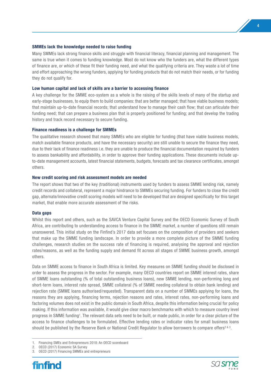#### **SMMEs lack the knowledge needed to raise funding**

Many SMMEs lack strong finance skills and struggle with financial literacy, financial planning and management. The same is true when it comes to funding knowledge. Most do not know who the funders are, what the different types of finance are, or which of these fit their funding need, and what the qualifying criteria are. They waste a lot of time and effort approaching the wrong funders, applying for funding products that do not match their needs, or for funding they do not qualify for.

#### **Low human capital and lack of skills are a barrier to accessing finance**

A key challenge for the SMME eco-system as a whole is the raising of the skills levels of many of the startup and early-stage businesses, to equip them to build companies: that are better managed; that have viable business models; that maintain up-to-date financial records; that understand how to manage their cash flow; that can articulate their funding need; that can prepare a business plan that is properly positioned for funding; and that develop the trading history and track record necessary to secure funding.

#### **Finance readiness is a challenge for SMMEs**

The qualitative research showed that many SMMEs who are eligible for funding (that have viable business models, match available finance products, and have the necessary security) are still unable to secure the finance they need, due to their lack of finance readiness i.e. they are unable to produce the financial documentation required by funders to assess bankability and affordability, in order to approve their funding applications. These documents include upto-date management accounts, latest financial statements, budgets, forecasts and tax clearance certificates, amongst others.

#### **New credit scoring and risk assessment models are needed**

The report shows that two of the key (traditional) instruments used by funders to assess SMME lending risk, namely credit records and collateral, represent a major hindrance to SMMEs securing funding. For funders to close the credit gap, alternate/innovative credit scoring models will need to be developed that are designed specifically for this target market, that enable more accurate assessment of the risks.

#### **Data gaps**

Whilst this report and others, such as the SAVCA Venture Capital Survey and the OECD Economic Survey of South Africa, are contributing to understanding access to finance in the SMME market, a number of questions still remain unanswered. This initial study on the Finfind's 2017 data set focuses on the composition of providers and seekers that make up the SMME funding landscape. In order to provide a more complete picture of the SMME funding challenges, research studies on the success rate of financing is required, analysing the approval and rejection rates/reasons, as well as the funding supply and demand fit across all stages of SMME business growth, amongst others.

Data on SMME access to finance in South Africa is limited. Key measures on SMME funding should be disclosed in order to assess the progress in the sector. For example, many OECD countries report on SMME interest rates, share of SMME loans outstanding (% of total outstanding business loans), new SMME lending, non-performing long and short-term loans, interest rate spread, SMME collateral (% of SMME needing collateral to obtain bank lending) and rejection rate (SMME loans authorised/requested). Transparent data on a number of SMMEs applying for loans, the reasons they are applying, financing terms, rejection reasons and rates, interest rates, non-performing loans and factoring volumes does not exist in the public domain in South Africa, despite this information being crucial for policy making. If this information was available, it would give clear macro benchmarks with which to measure country level progress in SMME funding1. The relevant data sets need to be built, or made public, in order for a clear picture of the access to finance challenges to be formulated. Effective lending rates or indicator rates for small business loans should be published by the Reserve Bank or National Credit Regulator to allow borrowers to compare offers<sup>2 & 3</sup>.

<sup>3.</sup> OECD (2017) Financing SMMEs and entrepreneurs





<sup>1.</sup> Financing SMEs and Entrepreneurs 2018: An OECD scoreboard

<sup>2.</sup> OECD (2017) Economic SA Survey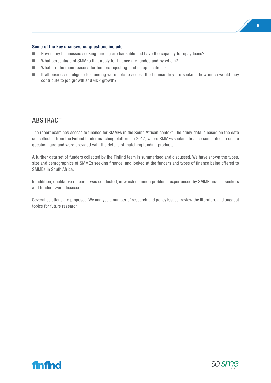#### **Some of the key unanswered questions include:**

- How many businesses seeking funding are bankable and have the capacity to repay loans?
- What percentage of SMMEs that apply for finance are funded and by whom?
- What are the main reasons for funders rejecting funding applications?
- **n** If all businesses eligible for funding were able to access the finance they are seeking, how much would they contribute to job growth and GDP growth?

# ABSTRACT

The report examines access to finance for SMMEs in the South African context. The study data is based on the data set collected from the Finfind funder matching platform in 2017, where SMMEs seeking finance completed an online questionnaire and were provided with the details of matching funding products.

A further data set of funders collected by the Finfind team is summarised and discussed. We have shown the types, size and demographics of SMMEs seeking finance, and looked at the funders and types of finance being offered to SMMEs in South Africa.

In addition, qualitative research was conducted, in which common problems experienced by SMME finance seekers and funders were discussed.

Several solutions are proposed. We analyse a number of research and policy issues, review the literature and suggest topics for future research.



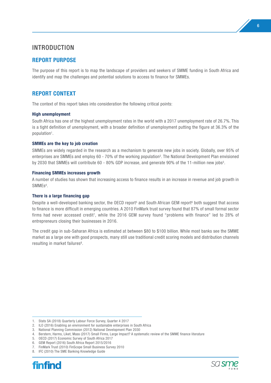# INTRODUCTION

# **REPORT PURPOSE**

The purpose of this report is to map the landscape of providers and seekers of SMME funding in South Africa and identify and map the challenges and potential solutions to access to finance for SMMEs.

# **REPORT CONTEXT**

The context of this report takes into consideration the following critical points:

#### **High unemployment**

South Africa has one of the highest unemployment rates in the world with a 2017 unemployment rate of 26.7%. This is a tight definition of unemployment, with a broader definition of unemployment putting the figure at 36.3% of the population1.

#### **SMMEs are the key to job creation**

SMMEs are widely regarded in the research as a mechanism to generate new jobs in society. Globally, over 95% of enterprises are SMMEs and employ 60 - 70% of the working population<sup>2</sup>. The National Development Plan envisioned by 2030 that SMMEs will contribute 60 - 80% GDP increase, and generate 90% of the 11-million new jobs3.

#### **Financing SMMEs increases growth**

A number of studies has shown that increasing access to finance results in an increase in revenue and job growth in SMME<sub>s<sup>4</sup>.</sub>

#### **There is a large financing gap**

Despite a well-developed banking sector, the OECD report<sup>5</sup> and South African GEM report<sup>6</sup> both suggest that access to finance is more difficult in emerging countries. A 2010 FinMark trust survey found that 87% of small formal sector firms had never accessed credit7, while the 2016 GEM survey found "problems with finance" led to 28% of entrepreneurs closing their businesses in 2016.

The credit gap in sub-Saharan Africa is estimated at between \$80 to \$100 billion. While most banks see the SMME market as a large one with good prospects, many still use traditional credit scoring models and distribution channels resulting in market failures<sup>8</sup>.

<sup>8.</sup> IFC (2010) The SME Banking Knowledge Guide





<sup>1.</sup> Stats SA (2018) Quarterly Labour Force Survey, Quarter 4 2017

<sup>2.</sup> ILO (2016) Enabling an environment for sustainable enterprises in South Africa

<sup>3.</sup> National Planning Commission (2012) National Development Plan 2030

<sup>4.</sup> Berstern, Harms, Liket, Mass (2017) Small Firms, Large Impact? A systematic review of the SMME finance literature

<sup>5.</sup> OECD (2017) Economic Survey of South Africa 2017

<sup>6.</sup> GEM Report (2016) South Africa Report 2015/2016

<sup>7.</sup> FinMark Trust (2010) FinScope Small Business Survey 2010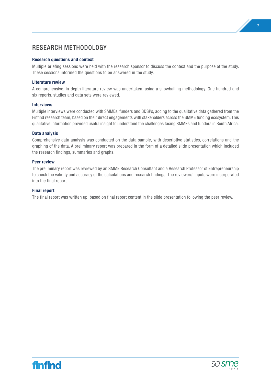# RESEARCH METHODOLOGY

#### **Research questions and context**

Multiple briefing sessions were held with the research sponsor to discuss the context and the purpose of the study. These sessions informed the questions to be answered in the study.

#### **Literature review**

A comprehensive, in-depth literature review was undertaken, using a snowballing methodology. One hundred and six reports, studies and data sets were reviewed.

#### **Interviews**

Multiple interviews were conducted with SMMEs, funders and BDSPs, adding to the qualitative data gathered from the Finfind research team, based on their direct engagements with stakeholders across the SMME funding ecosystem. This qualitative information provided useful insight to understand the challenges facing SMMEs and funders in South Africa.

#### **Data analysis**

Comprehensive data analysis was conducted on the data sample, with descriptive statistics, correlations and the graphing of the data. A preliminary report was prepared in the form of a detailed slide presentation which included the research findings, summaries and graphs.

#### **Peer review**

The preliminary report was reviewed by an SMME Research Consultant and a Research Professor of Entrepreneurship to check the validity and accuracy of the calculations and research findings. The reviewers' inputs were incorporated into the final report.

#### **Final report**

The final report was written up, based on final report content in the slide presentation following the peer review.





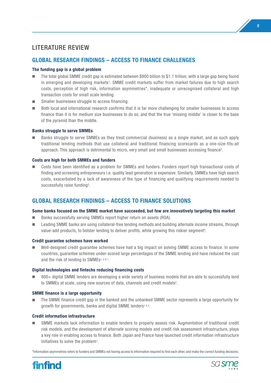# LITERATURE REVIEW

# **GLOBAL RESEARCH FINDINGS – ACCESS TO FINANCE CHALLENGES**

#### **The funding gap is a global problem**

- The total global SMME credit gap is estimated between \$900 billion to \$1.1 trillion, with a large gap being found in emerging and developing markets<sup>1</sup>. SMME credit markets suffer from market failures due to high search costs, perception of high risk, information asymmetries\*, inadequate or unrecognised collateral and high transaction costs for small scale lending.
- $\blacksquare$  Smaller businesses struggle to access financing.
- n Both local and international research confirms that it is far more challenging for smaller businesses to access finance than it is for medium size businesses to do so, and that the true 'missing middle' is closer to the base of the pyramid than the middle.

#### **Banks struggle to serve SMMEs**

n Banks struggle to serve SMMEs as they treat commercial (business) as a single market, and as such apply traditional lending methods that use collateral and traditional financing scorecards as a one-size-fits-all approach. This approach is detrimental to micro, very small and small businesses accessing finance2.

#### **Costs are high for both SMMEs and funders**

n Costs have been identified as a problem for SMMEs and funders. Funders report high transactional costs of finding and screening entrepreneurs i.e. quality lead generation is expensive. Similarly, SMMEs have high search costs, exacerbated by a lack of awareness of the type of financing and qualifying requirements needed to successfully raise funding<sup>3</sup>.

# **GLOBAL RESEARCH FINDINGS – ACCESS TO FINANCE SOLUTIONS**

#### **Some banks focused on the SMME market have succeeded, but few are innovatively targeting this market**

- Banks successfully serving SMMEs report higher return on assets (ROA).
- Leading SMME banks are using collateral-free lending methods and building alternate income streams, through value-add products, to bolster lending to deliver profits, while growing this riskier segment<sup>4</sup>.

#### **Credit guarantee schemes have worked**

n Well-designed credit guarantee schemes have had a big impact on solving SMME access to finance. In some countries, guarantee schemes under-scored large percentages of the SMME lending and have reduced the cost and the risk of lending to SMMEs<sup>1,6&7</sup>.

#### **Digital technologies and fintechs reducing financing costs**

n 800+ digital SMME lenders are developing a wide variety of business models that are able to successfully lend to SMMEs at scale, using new sources of data, channels and credit models<sup>2</sup>.

#### **SMME finance is a large opportunity**

n The SMME finance credit gap in the banked and the unbanked SMME sector represents a large opportunity for growth for governments, banks and digital SMME lenders<sup>1&2</sup>.

#### **Credit information infrastructure**

SMME markets lack information to enable lenders to properly assess risk. Augmentation of traditional credit risk models, and the development of alternate scoring models and credit risk assessment infrastructure, plays a key role in enabling access to finance. Both Japan and France have launched credit information infrastructure initiatives to solve the problem7.

\*Information asymmetries refers to funders and SMMEs not having access to information required to find each other, and make the correct funding decisions.



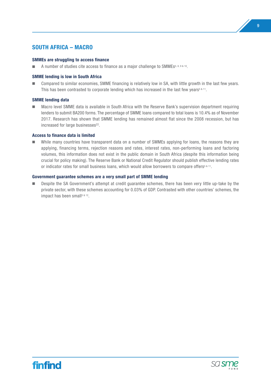# **SOUTH AFRICA – MACRO**

#### **SMMEs are struggling to access finance**

■ A number of studies cite access to finance as a major challenge to SMMEs<sup>5, 8, 9 & 10</sup>.

#### **SMME lending is low in South Africa**

■ Compared to similar economies, SMME financing is relatively low in SA, with little growth in the last few years. This has been contrasted to corporate lending which has increased in the last few years<sup>5 & 11</sup>.

#### **SMME lending data**

n Macro level SMME data is available in South Africa with the Reserve Bank's supervision department requiring lenders to submit BA200 forms. The percentage of SMME loans compared to total loans is 10.4% as of November 2017. Research has shown that SMME lending has remained almost flat since the 2008 recession, but has increased for large businesses<sup>22</sup>.

#### **Access to finance data is limited**

While many countries have transparent data on a number of SMMEs applying for loans, the reasons they are applying, financing terms, rejection reasons and rates, interest rates, non-performing loans and factoring volumes, this information does not exist in the public domain in South Africa (despite this information being crucial for policy making). The Reserve Bank or National Credit Regulator should publish effective lending rates or indicator rates for small business loans, which would allow borrowers to compare offers<sup>5 & 11</sup>.

#### **Government guarantee schemes are a very small part of SMME lending**

n Despite the SA Government's attempt at credit guarantee schemes, there has been very little up-take by the private sector, with these schemes accounting for 0.03% of GDP. Contrasted with other countries' schemes, the impact has been small<sup>5 & 12</sup>.

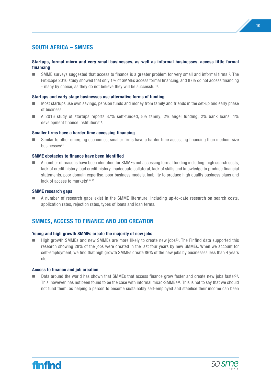# **SOUTH AFRICA – SMMES**

#### **Startups, formal micro and very small businesses, as well as informal businesses, access little formal financing**

**n** SMME surveys suggested that access to finance is a greater problem for very small and informal firms<sup>10</sup>. The FinScope 2010 study showed that only 1% of SMMEs access formal financing, and 87% do not access financing - many by choice, as they do not believe they will be successful<sup>13</sup>.

#### **Startups and early stage businesses use alternative forms of funding**

- n Most startups use own savings, pension funds and money from family and friends in the set-up and early phase of business.
- n A 2016 study of startups reports 87% self-funded; 8% family; 2% angel funding; 2% bank loans; 1% development finance institutions14.

#### **Smaller firms have a harder time accessing financing**

n Similar to other emerging economies, smaller firms have a harder time accessing financing than medium size businesses<sup>21</sup>.

#### **SMME obstacles to finance have been identified**

n A number of reasons have been identified for SMMEs not accessing formal funding including; high search costs, lack of credit history, bad credit history, inadequate collateral, lack of skills and knowledge to produce financial statements, poor domain expertise, poor business models, inability to produce high quality business plans and lack of access to markets<sup>8 & 15</sup>.

#### **SMME research gaps**

n A number of research gaps exist in the SMME literature, including up-to-date research on search costs, application rates, rejection rates, types of loans and loan terms.

# **SMMES, ACCESS TO FINANCE AND JOB CREATION**

#### **Young and high growth SMMEs create the majority of new jobs**

High growth SMMEs and new SMMEs are more likely to create new jobs<sup>23</sup>. The Finfind data supported this research showing 28% of the jobs were created in the last four years by new SMMEs. When we account for self-employment, we find that high growth SMMEs create 86% of the new jobs by businesses less than 4 years old.

#### **Access to finance and job creation**

Data around the world has shown that SMMEs that access finance grow faster and create new jobs faster<sup>24</sup>. This, however, has not been found to be the case with informal micro-SMMEs25. This is not to say that we should not fund them, as helping a person to become sustainably self-employed and stabilise their income can been



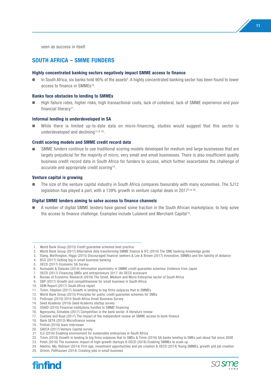seen as success in itself.

## **SOUTH AFRICA – SMME FUNDERS**

#### **Highly concentrated banking sectors negatively impact SMME access to finance**

In South Africa, six banks hold 90% of the assets<sup>5</sup>. A highly concentrated banking sector has been found to lower access to finance in SMMEs16.

#### **Banks face obstacles to lending to SMMEs**

n High failure rates, higher risks, high transactional costs, lack of collateral, lack of SMME experience and poor financial literacy<sup>17</sup>.

#### **Informal lending is underdeveloped in SA**

While there is limited up-to-date data on micro-financing, studies would suggest that this sector is underdeveloped and declining<sup>13 & 18</sup>.

#### **Credit scoring models and SMME credit record data**

SMME funders continue to use traditional scoring models developed for medium and large businesses that are largely prejudicial for the majority of micro, very small and small businesses. There is also insufficient quality business credit record data in South Africa for funders to access, which further exacerbates the challenge of accurate and appropriate credit scoring19.

#### **Venture capital is growing**

The size of the venture capital industry in South Africa compares favourably with many economies. The SJ12 legislation has played a part, with a 139% growth in venture capital deals in 20175 & 20.

#### **Digital SMME lenders aiming to solve access to finance channels**

 $\blacksquare$  A number of digital SMME lenders have gained some traction in the South African marketplace, to help solve the access to finance challenge. Examples include Lulalend and Merchant Capital<sup>19</sup>.

15. USAID (2010) Financial institutions hurdles to SMME financing

- 19. Finfind (2018) team interviews
- 20. SAVCA (2017) Venture Capital survey



<sup>1.</sup> World Bank Group (2015) Credit guarantee schemes best practice

<sup>2.</sup> World Bank Group (2017) Alternative data transforming SMME finance & IFC (2010) The SME banking knowledge guide

<sup>3.</sup> Xiang, Worthington, Higgs (2015) Discouraged financer seekers & Lee & Brown (2017) Innovation, SMMEs and the liability of distance

<sup>4.</sup> BCG (2017) Getting big in small business banking

<sup>5.</sup> OECD (2017) Economic SA Survey

<sup>6.</sup> Kuniuoshi & Daisuke (2014) Information asymmetry in SMME credit guarantee schemes: Evidence from Japan

<sup>7.</sup> OECD (2017) Financing SMEs and entrepreneurs 2017: An OECD scorecard

<sup>8.</sup> Bureau of Economic Research (2016) The Small, Medium and Micro Enterprise sector of South Africa

<sup>9.</sup> SBP (2017) Growth and competitiveness for small business in South Africa

<sup>10.</sup> GEM Report (2017) South Africa report

<sup>11.</sup> Timm, Stephen (2017) Growth in lending to big firms outpaces that to SMMEs

<sup>12.</sup> World Bank Group (2015) Principles for public credit guarantee schemes for SMEs

<sup>13.</sup> FinScope (2010) 2010 South Africa Small Business Survey

<sup>14.</sup> Seed Academy (2016) Seed Academy startup survey

<sup>16.</sup> Ngonyama, Simatele (2017) Competition in the bank sector: A literature review

<sup>17.</sup> Coetsee and Buys (2017) The impact of the independent review on SMME access to bank finance

<sup>18.</sup> Bank SETA (2013) Microfinance review

<sup>21</sup> ILO (2016) Enabling environment for sustainable enterprises in South Africa

<sup>22.</sup> Timm (2018) Growth in lending to big firms outpaces that to SMEs & Timm (2016) SA banks lending to SMEs just about flat since 2008

<sup>23.</sup> Fetsh (2016) The economic impact of high-growth startups & OECD (2018) Enabling SMMEs to scale up

<sup>24.</sup> Adelino, Ma, Robison (2014) Firm age, investment opportunities and job creation & OECD (2014) Young SMMEs, growth and job creation 25. Grimm, Paffhausen (2014) Creating jobs in small business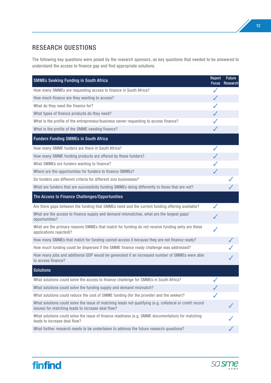# RESEARCH QUESTIONS

The following key questions were posed by the research sponsors, as key questions that needed to be answered to understand the access to finance gap and find appropriate solutions.

| <b>SMMEs Seeking Funding in South Africa</b>                                                                                                                 | Report<br><b>Focus</b> | <b>Future</b><br>Research |
|--------------------------------------------------------------------------------------------------------------------------------------------------------------|------------------------|---------------------------|
| How many SMMEs are requesting access to finance in South Africa?                                                                                             | $\checkmark$           |                           |
| How much finance are they wanting to access?                                                                                                                 | J                      |                           |
| What do they need the finance for?                                                                                                                           |                        |                           |
| What types of finance products do they need?                                                                                                                 |                        |                           |
| What is the profile of the entrepreneur/business owner requesting to access finance?                                                                         |                        |                           |
| What is the profile of the SMME needing finance?                                                                                                             |                        |                           |
| <b>Funders Funding SMMEs in South Africa</b>                                                                                                                 |                        |                           |
| How many SMME funders are there in South Africa?                                                                                                             |                        |                           |
| How many SMME funding products are offered by these funders?                                                                                                 |                        |                           |
| What SMMEs are funders wanting to finance?                                                                                                                   |                        |                           |
| Where are the opportunities for funders to finance SMMEs?                                                                                                    | ✔                      |                           |
| Do funders use different criteria for different size businesses?                                                                                             |                        |                           |
| What are funders that are successfully funding SMMEs doing differently to those that are not?                                                                |                        |                           |
| The Access to Finance Challenges/Opportunities                                                                                                               |                        |                           |
| Are there gaps between the funding that SMMEs need and the current funding offering available?                                                               |                        |                           |
| What are the access to finance supply and demand mismatches, what are the largest gaps/<br>opportunities?                                                    |                        |                           |
| What are the primary reasons SMMEs that match for funding do not receive funding (why are these<br>applications rejected)?                                   |                        |                           |
| How many SMMEs that match for funding cannot access it because they are not finance ready?                                                                   |                        |                           |
| How much funding could be dispersed if the SMME finance ready challenge was addressed?                                                                       |                        |                           |
| How many jobs and additional GDP would be generated if an increased number of SMMEs were able<br>to access finance?                                          |                        |                           |
| <b>Solutions</b>                                                                                                                                             |                        |                           |
| What solutions could solve the access to finance challenge for SMMEs in South Africa?                                                                        |                        |                           |
| What solutions could solve the funding supply and demand mismatch?                                                                                           |                        |                           |
| What solutions could reduce the cost of SMME funding (for the provider and the seeker)?                                                                      |                        |                           |
| What solutions could solve the issue of matching leads not qualifying (e.g. collateral or credit record<br>issues) for matching leads to increase deal flow? |                        |                           |
| What solutions could solve the issue of finance readiness (e.g. SMME documentation) for matching<br>leads to increase deal flow?                             |                        |                           |
| What further research needs to be undertaken to address the future research questions?                                                                       |                        |                           |



12

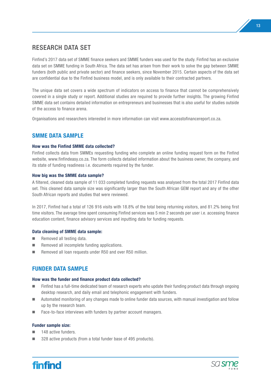# RESEARCH DATA SET

Finfind's 2017 data set of SMME finance seekers and SMME funders was used for the study. Finfind has an exclusive data set on SMME funding in South Africa. The data set has arisen from their work to solve the gap between SMME funders (both public and private sector) and finance seekers, since November 2015. Certain aspects of the data set are confidential due to the Finfind business model, and is only available to their contracted partners.

The unique data set covers a wide spectrum of indicators on access to finance that cannot be comprehensively covered in a single study or report. Additional studies are required to provide further insights. The growing Finfind SMME data set contains detailed information on entrepreneurs and businesses that is also useful for studies outside of the access to finance arena.

Organisations and researchers interested in more information can visit www.accesstofinancereport.co.za.

# **SMME DATA SAMPLE**

#### **How was the Finfind SMME data collected?**

Finfind collects data from SMMEs requesting funding who complete an online funding request form on the Finfind website, www.finfindeasy.co.za. The form collects detailed information about the business owner, the company, and its state of funding readiness i.e. documents required by the funder.

#### **How big was the SMME data sample?**

A filtered, cleaned data sample of 11 033 completed funding requests was analysed from the total 2017 Finfind data set. This cleaned data sample size was significantly larger than the South African GEM report and any of the other South African reports and studies that were reviewed.

In 2017, Finfind had a total of 126 916 visits with 18.8% of the total being returning visitors, and 81.2% being first time visitors. The average time spent consuming Finfind services was 5 min 2 seconds per user i.e. accessing finance education content, finance advisory services and inputting data for funding requests.

#### **Data cleaning of SMME data sample:**

- $\blacksquare$  Removed all testing data.
- $\blacksquare$  Removed all incomplete funding applications.
- Removed all loan requests under R50 and over R50 million.

# **FUNDER DATA SAMPLE**

#### **How was the funder and finance product data collected?**

- Finfind has a full-time dedicated team of research experts who update their funding product data through ongoing desktop research, and daily email and telephonic engagement with funders.
- n Automated monitoring of any changes made to online funder data sources, with manual investigation and follow up by the research team.
- $\blacksquare$  Face-to-face interviews with funders by partner account managers.

#### **Funder sample size:**

- 148 active funders.
- 328 active products (from a total funder base of 495 products).



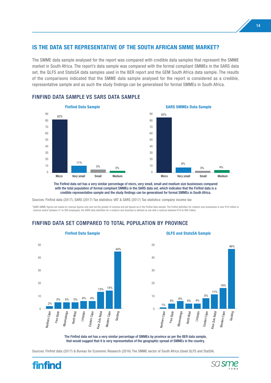# **IS THE DATA SET REPRESENTATIVE OF THE SOUTH AFRICAN SMME MARKET?**

The SMME data sample analysed for the report was compared with credible data samples that represent the SMME market in South Africa. The report's data sample was compared with the formal compliant SMMEs in the SARS data set, the QLFS and StatsSA data samples used in the BER report and the GEM South Africa data sample. The results of the comparisons indicated that the SMME data sample analysed for the report is considered as a credible, representative sample and as such the study findings can be generalised for formal SMMEs in South Africa.



#### FINFIND DATA SAMPLE VS SARS DATA SAMPLE



The Finfind data set has a very similar percentage of micro, very small, small and medium size businesses compared with the total population of formal compliant SMMEs in the SARS data set, which indicates that the Finfind data is a credible representative sample and the study findings can be generalised for formal SMMEs in South Africa.

Sources: Finfind data (2017), SARS (2017) Tax statistics: VAT & SARS (2017) Tax statistics: company income tax

\*SARS SMME figures are based on revenue figures only and not the greater of revenue and job figures as in the Finfind data sample. The Finfind definition for medium size businesses is over R10 million in revenue and/or between 51 to 200 employees; the SARS data definition for a medium size business is defined as one with a revenue between R10 to R50 million.

## FINFIND DATA SET COMPARED TO TOTAL POPULATION BY PROVINCE





The Finfind data set has a very similar percentage of SMMEs by province as per the BER data sample, that would suggest that it is very representative of the geographic spread of SMMEs in the country.

Sources: Finfind data (2017) & Bureau for Economic Research (2016) The SMME sector of South Africa (Used QLFS and StatSA)



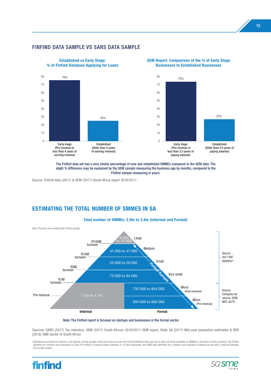#### FINFIND DATA SAMPLE VS SARS DATA SAMPLE







The Finfind data set has a very similar percentage of new and established SMMEs compared to the GEM data. The slight % difference may be explained by the GEM sample measuring the business age by months, compared to the Finfind sample measuring in years.

Source: Finfind data (2017) & GEM (2017) South Africa report 2016/2017

# **ESTIMATING THE TOTAL NUMBER OF SMMES IN SA**



Note: The Finfind report is focused on startups and businesses in the formal sector.

Sources: SARS (2017) Tax statistics, GEM (2017) South African 2016/2017 GEM report, Stats SA (2017) Mid-year population estimates & BER (2016) SME sector of South Africa

\*Definitions are based on revenue or job figures, not the greater of job and revenue as per the Finfind definition (this was due to data not being available on SMMEs in all sectors of the economy). The Finfind<br>definition f R10 to R50 million.



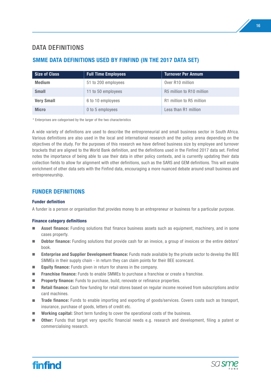# DATA DEFINITIONS

# **SMME DATA DEFINITIONS USED BY FINFIND (IN THE 2017 DATA SET)**

| <b>Size of Class</b> | <b>Full Time Employees</b> | <b>Turnover Per Annum</b>    |
|----------------------|----------------------------|------------------------------|
| <b>Medium</b>        | 51 to 200 employees        | Over R <sub>10</sub> million |
| <b>Small</b>         | 11 to 50 employees         | R5 million to R10 million    |
| <b>Very Small</b>    | 6 to 10 employees          | R1 million to R5 million     |
| <b>Micro</b>         | 0 to 5 employees           | Less than R1 million         |

\* Enterprises are categorised by the larger of the two characteristics

A wide variety of definitions are used to describe the entrepreneurial and small business sector in South Africa. Various definitions are also used in the local and international research and the policy arena depending on the objectives of the study. For the purposes of this research we have defined business size by employee and turnover brackets that are aligned to the World Bank definition, and the definitions used in the Finfind 2017 data set. Finfind notes the importance of being able to use their data in other policy contexts, and is currently updating their data collection fields to allow for alignment with other definitions, such as the SARS and GEM definitions. This will enable enrichment of other data sets with the Finfind data, encouraging a more nuanced debate around small business and entrepreneurship.

# **FUNDER DEFINITIONS**

#### **Funder definition**

A funder is a person or organisation that provides money to an entrepreneur or business for a particular purpose.

#### **Finance category definitions**

- **Asset finance:** Funding solutions that finance business assets such as equipment, machinery, and in some cases property.
- **Debtor finance:** Funding solutions that provide cash for an invoice, a group of invoices or the entire debtors' book.
- **n Enterprise and Supplier Development finance:** Funds made available by the private sector to develop the BEE SMMEs in their supply chain - in return they can claim points for their BEE scorecard.
- **Equity finance:** Funds given in return for shares in the company.
- **Franchise finance:** Funds to enable SMMEs to purchase a franchise or create a franchise.
- **Property finance:** Funds to purchase, build, renovate or refinance properties.
- **Retail finance:** Cash flow funding for retail stores based on regular income received from subscriptions and/or card machines.
- **Trade finance:** Funds to enable importing and exporting of goods/services. Covers costs such as transport, insurance, purchase of goods, letters of credit etc.
- **n Working capital:** Short term funding to cover the operational costs of the business.
- **n** Other: Funds that target very specific financial needs e.g. research and development, filing a patent or commercialising research.



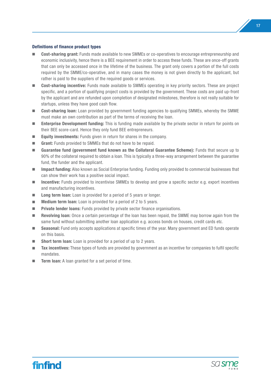#### **Definitions of finance product types**

- **Cost-sharing grant:** Funds made available to new SMMEs or co-operatives to encourage entrepreneurship and economic inclusivity, hence there is a BEE requirement in order to access these funds. These are once-off grants that can only be accessed once in the lifetime of the business. The grant only covers a portion of the full costs required by the SMME/co-operative, and in many cases the money is not given directly to the applicant, but rather is paid to the suppliers of the required goods or services.
- n **Cost-sharing incentive:** Funds made available to SMMEs operating in key priority sectors. These are project specific, and a portion of qualifying project costs is provided by the government. These costs are paid up-front by the applicant and are refunded upon completion of designated milestones, therefore is not really suitable for startups, unless they have good cash flow.
- **n Cost-sharing loan:** Loan provided by government funding agencies to qualifying SMMEs, whereby the SMME must make an own contribution as part of the terms of receiving the loan.
- **Enterprise Development funding:** This is funding made available by the private sector in return for points on their BEE score-card. Hence they only fund BEE entrepreneurs.
- **Equity investments:** Funds given in return for shares in the company.
- **Grant:** Funds provided to SMMEs that do not have to be repaid.
- Guarantee fund (government fund known as the Collateral Guarantee Scheme): Funds that secure up to 90% of the collateral required to obtain a loan. This is typically a three-way arrangement between the guarantee fund, the funder and the applicant.
- **n Impact funding:** Also known as Social Enterprise funding. Funding only provided to commercial businesses that can show their work has a positive social impact.
- **Incentive:** Funds provided to incentivise SMMEs to develop and grow a specific sector e.g. export incentives and manufacturing incentives.
- **Long term loan:** Loan is provided for a period of 5 years or longer.
- **Medium term loan:** Loan is provided for a period of 2 to 5 years.
- **n Private lender loans:** Funds provided by private sector finance organisations.
- **n Revolving loan:** Once a certain percentage of the loan has been repaid, the SMME may borrow again from the same fund without submitting another loan application e.g. access bonds on houses, credit cards etc.
- Seasonal: Fund only accepts applications at specific times of the year. Many government and ED funds operate on this basis.
- **Short term loan:** Loan is provided for a period of up to 2 years.
- **Tax incentives:** These types of funds are provided by government as an incentive for companies to fulfil specific mandates.
- **n Term loan:** A loan granted for a set period of time.



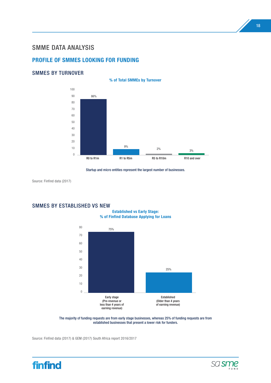# SMME DATA ANALYSIS

# **PROFILE OF SMMES LOOKING FOR FUNDING**

#### SMMES BY TURNOVER



Startup and micro entities represent the largest number of businesses.

Source: Finfind data (2017)

### SMMES BY ESTABLISHED VS NEW

**Established vs Early Stage: % of Finfind Database Applying for Loans**



The majority of funding requests are from early stage businesses, whereas 25% of funding requests are from established businesses that present a lower risk for funders.

Source: Finfind data (2017) & GEM (2017) South Africa report 2016/2017



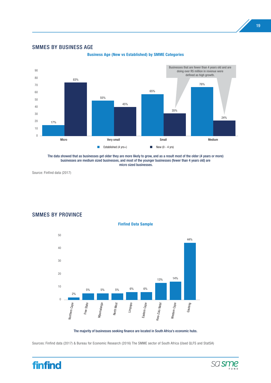#### SMMES BY BUSINESS AGE



**Business Age (New vs Established) by SMME Categories**

Source: Finfind data (2017)



SMMES BY PROVINCE

The majority of businesses seeking finance are located in South Africa's economic hubs.

Sources: Finfind data (2017) & Bureau for Economic Research (2016) The SMME sector of South Africa (Used QLFS and StatSA)



The data showed that as businesses get older they are more likely to grow, and as a result most of the older (4 years or more) businesses are medium sized businesses, and most of the younger businesses (fewer than 4 years old) are micro sized businesses.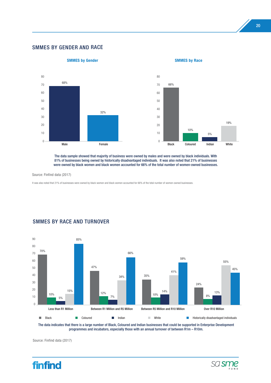#### SMMES BY GENDER AND RACE



The data sample showed that majority of business were owned by males and were owned by black individuals. With 81% of businesses being owned by historically disadvantaged individuals. It was also noted that 21% of businesses were owned by black women and black women accounted for 66% of the total number of women-owned businesses.

Source: Finfind data (2017)

It was also noted that 21% of businesses were owned by black women and black women accounted for 66% of the total number of women-owned businesses.



## SMMES BY RACE AND TURNOVER

The data indicates that there is a large number of Black, Coloured and Indian businesses that could be supported in Enterprise Development programmes and incubators, especially those with an annual turnover of between R1m – R10m.



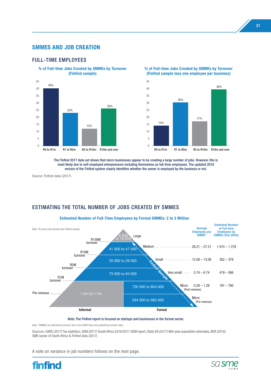### **SMMES AND JOB CREATION**

#### FULL-TIME EMPLOYEES



**% of Full-time Jobs Created by SMMEs by Turnover** 

**% of Full-time Jobs Created by SMMEs by Turnover (Finfind sample less one employee per business)**



The Finfind 2017 data set shows that micro businesses appear to be creating a large number of jobs. However, this is most likely due to self-employed entrepreneurs including themselves as full-time employees. The updated 2018 version of the Finfind system clearly identifies whether the owner is employed by the business or not.

Source: Finfind data (2017)

# ESTIMATING THE TOTAL NUMBER OF JOBS CREATED BY SMMES



#### Note: The Finfind report is focused on startups and businesses in the formal sector.

Note: \*SMMEs are defined by turnover due to the SARS data only publishing turnover data.

Sources: SARS (2017) Tax statistics, GEM (2017) South Africa 2016/2017 GEM report, Stats SA (2017) Mid-year population estimates, BER (2016) SME sector of South Africa & Finfind data (2017)

A note on variance in job numbers follows on the next page.



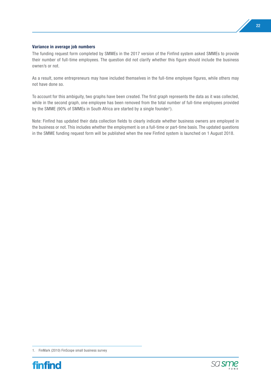#### **Variance in average job numbers**

The funding request form completed by SMMEs in the 2017 version of the Finfind system asked SMMEs to provide their number of full-time employees. The question did not clarify whether this figure should include the business owner/s or not.

As a result, some entrepreneurs may have included themselves in the full-time employee figures, while others may not have done so.

To account for this ambiguity, two graphs have been created. The first graph represents the data as it was collected, while in the second graph, one employee has been removed from the total number of full-time employees provided by the SMME (90% of SMMEs in South Africa are started by a single founder<sup>1</sup>).

Note: Finfind has updated their data collection fields to clearly indicate whether business owners are employed in the business or not. This includes whether the employment is on a full-time or part-time basis. The updated questions in the SMME funding request form will be published when the new Finfind system is launched on 1 August 2018.

<sup>1.</sup> FinMark (2010) FinScope small business survey



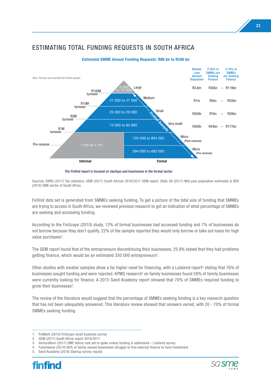# ESTIMATING TOTAL FUNDING REQUESTS IN SOUTH AFRICA



#### **Estimated SMME Annual Funding Requests: R86 bn to R346 bn**

The Finfind report is focused on startups and businesses in the formal sector.

Sources: SARS (2017) Tax statistics, GEM (2017) South African 2016/2017 GEM report, Stats SA (2017) Mid-year population estimates & BER (2016) SME sector of South Africa

Finfind data set is generated from SMMEs seeking funding. To get a picture of the total size of funding that SMMEs are trying to access in South Africa, we reviewed previous research to get an indication of what percentage of SMMEs are seeking and accessing funding.

According to the FinScope (2010) study, 13% of formal businesses had accessed funding and 7% of businesses do not borrow because they don't qualify. 22% of the sample reported they would only borrow or take out loans for high value purchases<sup>1</sup>.

The GEM report found that of the entrepreneurs discontinuing their businesses, 25.9% stated that they had problems getting finance, which would be an estimated 350 000 entrepreneurs2.

Other studies with smaller samples show a far higher need for financing, with a Lulalend report<sup>3</sup> stating that 76% of businesses sought funding and were rejected. KPMG research<sup>4</sup> on family businesses found 58% of family businesses were currently looking for finance. A 2015 Seed Academy report showed that 70% of SMMEs required funding to grow their businesses<sup>5</sup>.

The review of the literature would suggest that the percentage of SMMEs seeking funding is a key research question that has not been adequately answered. This literature review showed that answers varied, with 20 - 70% of formal SMMEs seeking funding.

<sup>5.</sup> Seed Academy (2016) Startup survey results





<sup>1.</sup> FinMark (2010) FinScope small business survey

<sup>2.</sup> GEM (2017) South Africa report 2016/2017

<sup>3.</sup> VentureBurn (2017) SME failure rate set to spike unless funding is addressed – Lulalend survey

<sup>4.</sup> Futurewave (2014) 60% of family owned businesses struggle to find external finance to fund investment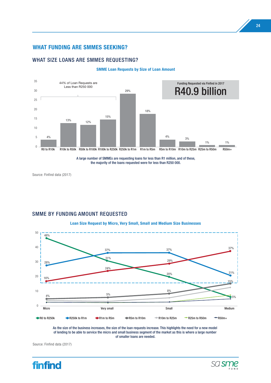#### **WHAT FUNDING ARE SMMES SEEKING?**

#### WHAT SIZE LOANS ARE SMMES REQUESTING?



#### **SMME Loan Requests by Size of Loan Amount**

Source: Finfind data (2017)

# SMME BY FUNDING AMOUNT REQUESTED

**Loan Size Request by Micro, Very Small, Small and Medium Size Businesses**



As the size of the business increases, the size of the loan requests increase. This highlights the need for a new model of lending to be able to service the micro and small business segment of the market as this is where a large number of smaller loans are needed.

Source: Finfind data (2017)

24



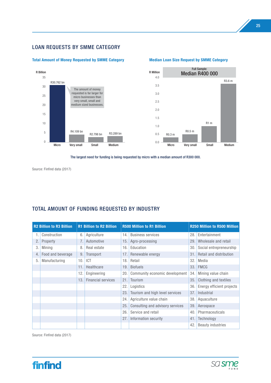# LOAN REQUESTS BY SMME CATEGORY

#### **Total Amount of Money Requested by SMME Category Median Loan Size Request by SMME Category**



#### 4.0 3.5 3.0 2.5 2.0 1.5 1.0 0.5 0.0 R Million Full Sample: Median R400 000 R0.3 m R3.6 m R1 m R0.5 m

The largest need for funding is being requested by micro with a median amount of R300 000.

Source: Finfind data (2017)

## TOTAL AMOUNT OF FUNDING REQUESTED BY INDUSTRY

| <b>R2 Billion to R3 Billion</b> |                   | <b>R1 Billion to R2 Billion</b> |                           | <b>R500 Million to R1 Billion</b> | <b>R250 Million to R500 Million</b> |     |                           |
|---------------------------------|-------------------|---------------------------------|---------------------------|-----------------------------------|-------------------------------------|-----|---------------------------|
|                                 | Construction      | 6.                              | Agriculture               | 14.                               | <b>Business services</b>            | 28. | Entertainment             |
| 2.                              | Property          |                                 | Automotive                | 15.                               | Agro-processing                     | 29. | Wholesale and retail      |
| 3.                              | Mining            | 8.                              | Real estate               | 16.                               | Education                           | 30. | Social entrepreneurship   |
| 4.                              | Food and beverage | 9.                              | Transport                 | 17.1                              | Renewable energy                    | 31. | Retail and distribution   |
| 5.                              | Manufacturing     | 10.                             | <b>ICT</b>                | 18.                               | Retail                              | 32. | Media                     |
|                                 |                   | 11.                             | Healthcare                | 19.                               | <b>Biofuels</b>                     | 33. | <b>FMCG</b>               |
|                                 |                   | 12.                             | Engineering               | 20.                               | Community economic development      | 34. | Mining value chain        |
|                                 |                   | 13.                             | <b>Financial services</b> | 21.                               | Tourism                             | 35. | Clothing and textiles     |
|                                 |                   |                                 |                           | 22.                               | Logistics                           | 36. | Energy efficient projects |
|                                 |                   |                                 |                           | 23.                               | Tourism and high level services     | 37. | Industrial                |
|                                 |                   |                                 |                           | 24.                               | Agriculture value chain             | 38. | Aquaculture               |
|                                 |                   |                                 |                           | 25.1                              | Consulting and advisory services    | 39. | Aerospace                 |
|                                 |                   |                                 |                           | 26.                               | Service and retail                  | 40. | Pharmaceuticals           |
|                                 |                   |                                 |                           | 27.1                              | Information security                | 41. | Technology                |
|                                 |                   |                                 |                           |                                   |                                     | 42. | <b>Beauty industries</b>  |



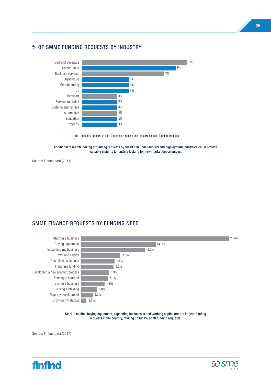#### % OF SMME FUNDING REQUESTS BY INDUSTRY



 $\blacksquare$  Industry appears in top 10 funding requests and industry specific funding products

Additional research looking at funding requests by SMMEs in under-funded and high-growth industries could provide valuable insights to funders looking for new market opportunities.

Source: Finfind data (2017)

#### SMME FINANCE REQUESTS BY FUNDING NEED



Startup capital, buying equipment, expanding businesses and working capital are the largest funding requests in the country, making up 62.4% of all funding requests.



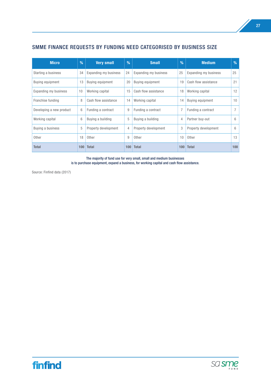# SMME FINANCE REQUESTS BY FUNDING NEED CATEGORISED BY BUSINESS SIZE

| <b>Micro</b>             | %   | <b>Very small</b>     | %   | <b>Small</b>          | %   | <b>Medium</b>           | $\%$ |
|--------------------------|-----|-----------------------|-----|-----------------------|-----|-------------------------|------|
| Starting a business      | 34  | Expanding my business | 24  | Expanding my business | 25  | Expanding my business   | 25   |
| Buying equipment         | 13  | Buying equipment      | 20  | Buying equipment      | 19  | Cash flow assistance    | 21   |
| Expanding my business    | 10  | Working capital       | 15  | Cash flow assistance  | 18  | Working capital         | 12   |
| Franchise funding        | 8   | Cash flow assistance  | 14  | Working capital       | 14  | <b>Buying equipment</b> | 10   |
| Developing a new product | 6   | Funding a contract    | 9   | Funding a contract    | 7   | Funding a contract      | 7    |
| Working capital          | 6   | Buying a building     | 5   | Buying a building     | 4   | Partner buy-out         | 6    |
| Buying a business        | 5   | Property development  | 4   | Property development  | 3   | Property development    | 6    |
| Other                    | 18  | Other                 | 9   | Other                 | 10  | Other                   | 13   |
| <b>Total</b>             | 100 | <b>Total</b>          | 100 | <b>Total</b>          | 100 | <b>Total</b>            | 100  |

The majority of fund use for very small, small and medium businesses is to purchase equipment, expand a business, for working capital and cash flow assistance.



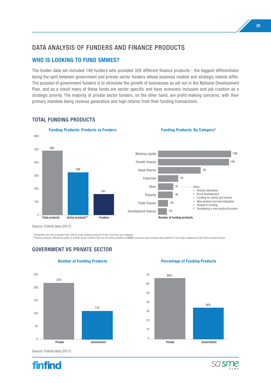# DATA ANALYSIS OF FUNDERS AND FINANCE PRODUCTS

# **WHO IS LOOKING TO FUND SMMES?**

The funder data set included 148 funders who provided 328 different finance products - the biggest differentiator being the split between government and private sector funders whose business models and strategic intents differ. The purpose of government funders is to stimulate the growth of businesses as set out in the National Development Plan, and as a result many of these funds are sector specific and have economic inclusion and job creation as a strategic priority. The majority of private sector funders, on the other hand, are profit-making concerns, with their primary mandate being revenue generation and high returns from their funding transactions.



#### TOTAL FUNDING PRODUCTS





\*\*Categories will sum to greater than 328 as many funding products fit into more than one category.

GOVERNMENT VS PRIVATE SECTOR

\*\*Finance products (offered by public or private sector funders) that are currently available to SMMEs and have been checked and updated in the funder database by the Finfind research team.

# 250 200 150 100 50  $\Omega$ 110 218



#### **Number of Funding Products Percentage of Funding Products**





Source: Finfind data (2017)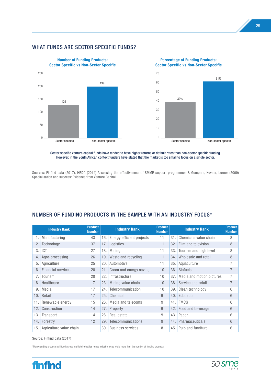#### WHAT FUNDS ARE SECTOR SPECIFIC FUNDS?



Sector specific venture capital funds have tended to have higher returns or default rates than non-sector specific funding. However, in the South African context funders have stated that the market is too small to focus on a single sector.

Sources: Finfind data (2017), HRDC (2014) Assessing the effectiveness of SMME support programmes & Gompers, Kovner, Lerner (2009) Specialisation and success: Evidence from Venture Capital

## NUMBER OF FUNDING PRODUCTS IN THE SAMPLE WITH AN INDUSTRY FOCUS\*

| <b>Industry Rank</b> |                           | <b>Product</b><br><b>Number</b> | <b>Industry Rank</b> |                           | <b>Product</b><br><b>Number</b> | <b>Industry Rank</b> |                           | <b>Product</b><br><b>Number</b> |
|----------------------|---------------------------|---------------------------------|----------------------|---------------------------|---------------------------------|----------------------|---------------------------|---------------------------------|
| 1.                   | Manufacturing             | 43                              | 16.                  | Energy efficient projects | 11                              | 31.                  | Chemicals value chain     | 8                               |
| 2.                   | Technology                | 37                              | 17.                  | Logistics                 | 11                              | 32.                  | Film and television       | 8                               |
| 3                    | ICT                       | 27                              | 18.                  | Mining                    | 11                              | 33.                  | Tourism and high level    | 8                               |
| 4.                   | Agro-processing           | 26                              | 19.                  | Waste and recycling       | 11                              | 34.                  | Wholesale and retail      | 8                               |
| 5.                   | Agriculture               | 25                              | 20.                  | Automotive                | 11                              | 35.                  | Aquaculture               | 7                               |
| 6.                   | <b>Financial services</b> | 20                              | 21.                  | Green and energy saving   | 10 <sup>°</sup>                 | 36.                  | <b>Biofuels</b>           | $\overline{7}$                  |
| 7.                   | Tourism                   | 20                              | 22.                  | Infrastructure            | 10                              | 37.                  | Media and motion pictures | $\overline{7}$                  |
| 8.                   | Healthcare                | 17                              | 23.                  | Mining value chain        | 10 <sup>1</sup>                 | 38.                  | Service and retail        | $\overline{7}$                  |
| 9                    | Media                     | 17                              | 24.                  | Telecommunication         | 10 <sup>1</sup>                 | 39.                  | Clean technology          | 6                               |
| 10.                  | Retail                    | 17                              | 25.                  | Chemical                  | 9                               | 40.                  | Education                 | 6                               |
| 11.                  | Renewable energy          | 15                              | 26.                  | Media and telecoms        | 9                               | 41.                  | <b>FMCG</b>               | 6                               |
| 12.                  | Construction              | 14                              | 27.                  | Property                  | 9                               | 42.                  | Food and beverage         | 6                               |
| 13.                  | Transport                 | 14                              | 28.                  | Real estate               | 9                               | 43.                  | Paper                     | 6                               |
| 14.                  | Forestry                  | 12                              | 29.                  | Telecommunications        | 9                               | 44.                  | Pharmaceuticals           | 6                               |
| 15.                  | Agriculture value chain   | 11                              | 30.                  | <b>Business services</b>  | 8                               | 45.                  | Pulp and furniture        | 6                               |

Source: Finfind data (2017)

\*Many funding products will fund across multiple industries hence industry focus totals more than the number of funding products



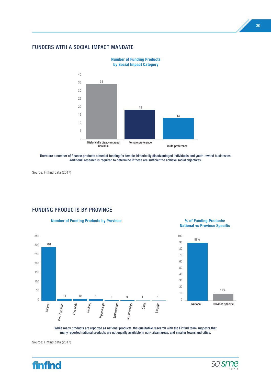#### FUNDERS WITH A SOCIAL IMPACT MANDATE



**Number of Funding Products by Social Impact Category**

There are a number of finance products aimed at funding for female, historically disadvantaged individuals and youth-owned businesses. Additional research is required to determine if these are sufficient to achieve social objectives.

Source: Finfind data (2017)

#### FUNDING PRODUCTS BY PROVINCE

#### **Number of Funding Products by Province % of Funding Products:**



**National vs Province Specific**



While many products are reported as national products, the qualitative research with the Finfind team suggests that many reported national products are not equally available in non-urban areas, and smaller towns and cities.





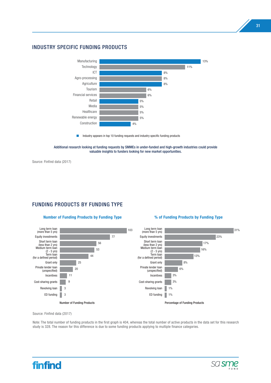#### INDUSTRY SPECIFIC FUNDING PRODUCTS



**n** Industry appears in top 10 funding requests and industry specific funding products



Source: Finfind data (2017)

## FUNDING PRODUCTS BY FUNDING TYPE

#### **Number of Funding Products by Funding Type % of Funding Products by Funding Type**



Source: Finfind data (2017)

Note: The total number of funding products in the first graph is 404, whereas the total number of active products in the data set for this research study is 328. The reason for this difference is due to some funding products applying to multiple finance categories.



31

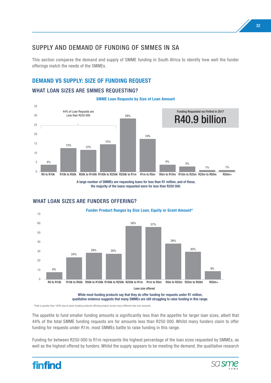# SUPPLY AND DEMAND OF FUNDING OF SMMES IN SA

This section compares the demand and supply of SMME funding in South Africa to identify how well the funder offerings match the needs of the SMMEs.

# **DEMAND VS SUPPLY: SIZE OF FUNDING REQUEST**

#### WHAT LOAN SIZES ARE SMMES REQUESTING?

**SMME Loan Requests by Size of Loan Amount**



A large number of SMMEs are requesting loans for less than R1 million, and of these, the majority of the loans requested were for less than R250 000.



## WHAT LOAN SIZES ARE FUNDERS OFFERING?

\*Total is greater than 100% due to some funding products offering product across many different loan size amounts.

The appetite to fund smaller funding amounts is significantly less than the appetite for larger loan sizes, albeit that 44% of the total SMME funding requests are for amounts less than R250 000. Whilst many funders claim to offer funding for requests under R1m, most SMMEs battle to raise funding in this range.

Funding for between R250 000 to R1m represents the highest percentage of the loan sizes requested by SMMEs, as well as the highest offered by funders. Whilst the supply appears to be meeting the demand, the qualitative research



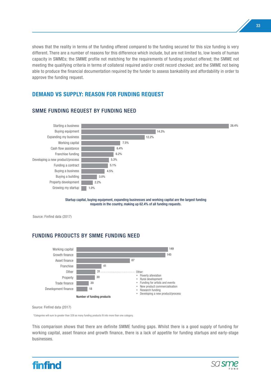shows that the reality in terms of the funding offered compared to the funding secured for this size funding is very different. There are a number of reasons for this difference which include, but are not limited to, low levels of human capacity in SMMEs; the SMME profile not matching for the requirements of funding product offered; the SMME not meeting the qualifying criteria in terms of collateral required and/or credit record checked; and the SMME not being able to produce the financial documentation required by the funder to assess bankability and affordability in order to approve the funding request.

# **DEMAND VS SUPPLY: REASON FOR FUNDING REQUEST**



# SMME FUNDING REQUEST BY FUNDING NEED

Startup capital, buying equipment, expanding businesses and working capital are the largest funding requests in the country, making up 62.4% of all funding requests.

Source: Finfind data (2017)

# FUNDING PRODUCTS BY SMME FUNDING NEED



Source: Finfind data (2017)

\*\*Categories will sum to greater than 328 as many funding products fit into more than one category.

This comparison shows that there are definite SMME funding gaps. Whilst there is a good supply of funding for working capital, asset finance and growth finance, there is a lack of appetite for funding startups and early-stage businesses.



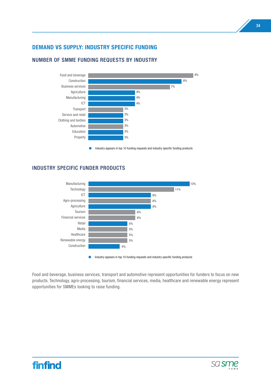# **DEMAND VS SUPPLY: INDUSTRY SPECIFIC FUNDING**



# NUMBER OF SMME FUNDING REQUESTS BY INDUSTRY

 $\Box$  Industry appears in top 10 funding requests and industry specific funding products

# INDUSTRY SPECIFIC FUNDER PRODUCTS



Food and beverage, business services, transport and automotive represent opportunities for funders to focus on new products. Technology, agro-processing, tourism, financial services, media, healthcare and renewable energy represent opportunities for SMMEs looking to raise funding.



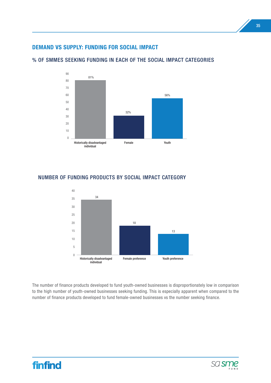# **DEMAND VS SUPPLY: FUNDING FOR SOCIAL IMPACT**



#### % OF SMMES SEEKING FUNDING IN EACH OF THE SOCIAL IMPACT CATEGORIES



## NUMBER OF FUNDING PRODUCTS BY SOCIAL IMPACT CATEGORY

The number of finance products developed to fund youth-owned businesses is disproportionately low in comparison to the high number of youth-owned businesses seeking funding. This is especially apparent when compared to the number of finance products developed to fund female-owned businesses vs the number seeking finance.

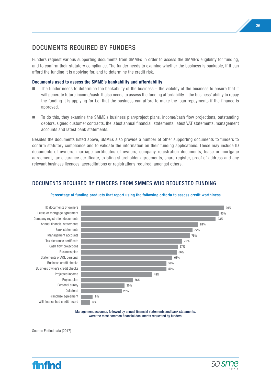# DOCUMENTS REQUIRED BY FUNDERS

Funders request various supporting documents from SMMEs in order to assess the SMME's eligibility for funding, and to confirm their statutory compliance. The funder needs to examine whether the business is bankable, if it can afford the funding it is applying for, and to determine the credit risk.

#### **Documents used to assess the SMME's bankability and affordability**

- $\blacksquare$  The funder needs to determine the bankability of the business the viability of the business to ensure that it will generate future income/cash. It also needs to assess the funding affordability – the business' ability to repay the funding it is applying for i.e. that the business can afford to make the loan repayments if the finance is approved.
- n To do this, they examine the SMME's business plan/project plans, income/cash flow projections, outstanding debtors, signed customer contracts, the latest annual financial, statements, latest VAT statements, management accounts and latest bank statements.

Besides the documents listed above, SMMEs also provide a number of other supporting documents to funders to confirm statutory compliance and to validate the information on their funding applications. These may include ID documents of owners, marriage certificates of owners, company registration documents, lease or mortgage agreement, tax clearance certificate, existing shareholder agreements, share register, proof of address and any relevant business licences, accreditations or registrations required, amongst others.

# DOCUMENTS REQUIRED BY FUNDERS FROM SMMES WHO REQUESTED FUNDING



#### **Percentage of funding products that report using the following criteria to assess credit worthiness**

Management accounts, followed by annual financial statements and bank statements, were the most common financial documents requested by funders.



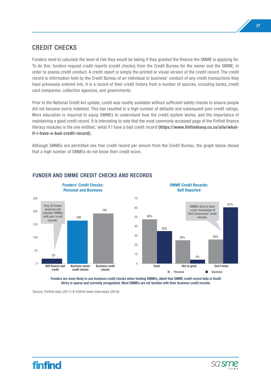# CREDIT CHECKS

Funders need to calculate the level of risk they would be taking if they granted the finance the SMME is applying for. To do this, funders request credit reports (credit checks) from the Credit Bureau for the owner and the SMME, in order to assess credit conduct. A credit report is simply the printed or visual version of the credit record. The credit record is information held by the Credit Bureau of an individual or business' conduct of any credit transactions they have previously entered into. It is a record of their credit history from a number of sources, including banks, credit card companies, collection agencies, and governments.

Prior to the National Credit Act update, credit was readily available without sufficient safety checks to ensure people did not become overly indebted. This has resulted in a high number of defaults and subsequent poor credit ratings. More education is required to equip SMMEs to understand how the credit system works, and the importance of maintaining a good credit record. It is interesting to note that the most commonly accessed page of the Finfind finance literacy modules is the one entitled, 'what if I have a bad credit record'**(https://www.finfindeasy.co.za/site/whatif-i-have-a-bad-credit-record).**

Although SMMEs are permitted one free credit record per annum from the Credit Bureau, the graph below shows that a high number of SMMEs do not know their credit score.



# FUNDER AND SMME CREDIT CHECKS AND RECORDS

Funders are more likely to use business credit checks when funding SMMEs, albeit that SMME credit record data in South Africa is sparse and currently unregulated. Most SMMEs are not familiar with their business credit records.

Source: Finfind data (2017) & Finfind team interviews (2018)





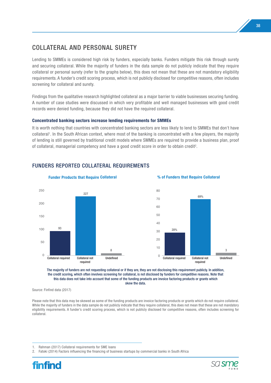# COLLATERAL AND PERSONAL SURETY

Lending to SMMEs is considered high risk by funders, especially banks. Funders mitigate this risk through surety and securing collateral. While the majority of funders in the data sample do not publicly indicate that they require collateral or personal surety (refer to the graphs below), this does not mean that these are not mandatory eligibility requirements. A funder's credit scoring process, which is not publicly disclosed for competitive reasons, often includes screening for collateral and surety.

Findings from the qualitative research highlighted collateral as a major barrier to viable businesses securing funding. A number of case studies were discussed in which very profitable and well managed businesses with good credit records were denied funding, because they did not have the required collateral.

#### **Concentrated banking sectors increase lending requirements for SMMEs**

It is worth nothing that countries with concentrated banking sectors are less likely to lend to SMMEs that don't have collateral<sup>1</sup>. In the South African context, where most of the banking is concentrated with a few players, the majority of lending is still governed by traditional credit models where SMMEs are required to provide a business plan, proof of collateral, managerial competency and have a good credit score in order to obtain credit2.



# FUNDERS REPORTED COLLATERAL REQUIREMENTS

The majority of funders are not requesting collateral or if they are, they are not disclosing this requirement publicly. In addition, the credit scoring, which often involves screening for collateral, is not disclosed by funders for competitive reasons. Note that this data does not take into account that some of the funding products are invoice factoring products or grants which skew the data.

Source: Finfind data (2017)

Please note that this data may be skewed as some of the funding products are invoice factoring products or grants which do not require collateral. While the majority of funders in the data sample do not publicly indicate that they require collateral, this does not mean that these are not mandatory eligibility requirements. A funder's credit scoring process, which is not publicly disclosed for competitive reasons, often includes screening for collateral.



<sup>1.</sup> Rahman (2017) Collateral requirements for SME loans

<sup>2.</sup> Fatoki (2014) Factors influencing the financing of business startups by commercial banks in South Africa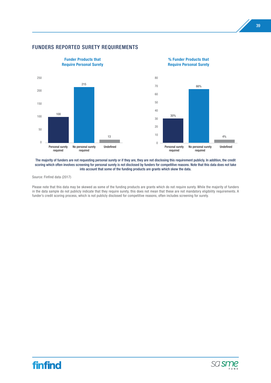

#### FUNDERS REPORTED SURETY REQUIREMENTS

The majority of funders are not requesting personal surety or if they are, they are not disclosing this requirement publicly. In addition, the credit scoring which often involves screening for personal surety is not disclosed by funders for competitive reasons. Note that this data does not take into account that some of the funding products are grants which skew the data.

Source: Finfind data (2017)

Please note that this data may be skewed as some of the funding products are grants which do not require surety. While the majority of funders in the data sample do not publicly indicate that they require surety, this does not mean that these are not mandatory eligibility requirements. A funder's credit scoring process, which is not publicly disclosed for competitive reasons, often includes screening for surety.



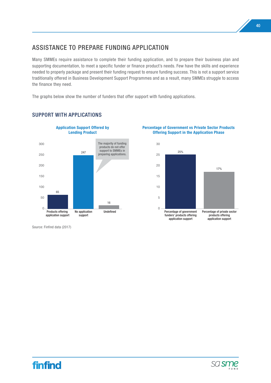# ASSISTANCE TO PREPARE FUNDING APPLICATION

Many SMMEs require assistance to complete their funding application, and to prepare their business plan and supporting documentation, to meet a specific funder or finance product's needs. Few have the skills and experience needed to properly package and present their funding request to ensure funding success. This is not a support service traditionally offered in Business Development Support Programmes and as a result, many SMMEs struggle to access the finance they need.

The graphs below show the number of funders that offer support with funding applications.



# SUPPORT WITH APPLICATIONS

**Percentage of Government vs Private Sector Products Offering Support in the Application Phase**







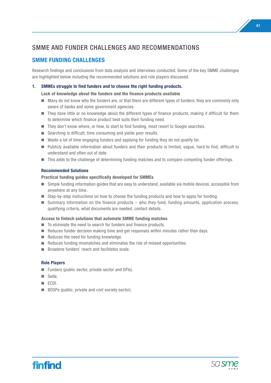# SMME AND FUNDER CHALLENGES AND RECOMMENDATIONS

# **SMME FUNDING CHALLENGES**

Research findings and conclusions from data analysis and interviews conducted. Some of the key SMME challenges are highlighted below including the recommended solutions and role players discussed.

#### **1. SMMEs struggle to find funders and to choose the right funding products.**

 **Lack of knowledge about the funders and the finance products available** 

- Many do not know who the funders are, or that there are different types of funders; they are commonly only aware of banks and some government agencies.
- $\blacksquare$  They have little or no knowledge about the different types of finance products, making it difficult for them to determine which finance product best suits their funding need.
- $\blacksquare$  They don't know where, or how, to start to find funding, most resort to Google searches.
- $\blacksquare$  Searching is difficult, time consuming and yields poor results.
- $\blacksquare$  Waste a lot of time engaging funders and applying for funding they do not qualify for.
- n Publicly available information about funders and their products is limited, vague, hard to find, difficult to understand and often out of date.
- $\blacksquare$  This adds to the challenge of determining funding matches and to compare competing funder offerings.

#### **Recommended Solutions**

#### **Practical funding guides specifically developed for SMMEs**

- Simple funding information guides that are easy to understand, available via mobile devices, accessible from anywhere at any time.
- Step-by-step instructions on how to choose the funding products and how to apply for funding.
- $\blacksquare$  Summary information on the finance products who they fund, funding amounts, application process, qualifying criteria, what documents are needed, contact details.

#### **Access to fintech solutions that automate SMME funding matches**

- $\blacksquare$  To eliminate the need to search for funders and finance products.
- $\blacksquare$  Reduces funder decision making time and get responses within minutes rather than days.
- $\blacksquare$  Reduces the need for funding knowledge.
- $\blacksquare$  Reduces funding mismatches and eliminates the risk of missed opportunities.
- $\blacksquare$  Broadens funders' reach and facilitates scale.

- $\blacksquare$  Funders (public sector, private sector and DFIs).
- n Seda
- n ECDI.
- $\blacksquare$  BDSPs (public, private and civil society sector).



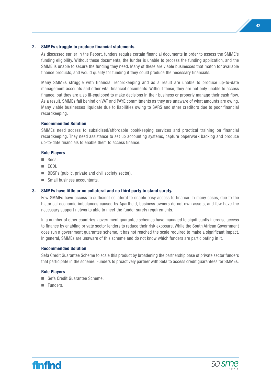#### **2. SMMEs struggle to produce financial statements.**

 As discussed earlier in the Report, funders require certain financial documents in order to assess the SMME's funding eligibility. Without these documents, the funder is unable to process the funding application, and the SMME is unable to secure the funding they need. Many of these are viable businesses that match for available finance products, and would qualify for funding if they could produce the necessary financials.

 Many SMMEs struggle with financial recordkeeping and as a result are unable to produce up-to-date management accounts and other vital financial documents. Without these, they are not only unable to access finance, but they are also ill-equipped to make decisions in their business or properly manage their cash flow. As a result, SMMEs fall behind on VAT and PAYE commitments as they are unaware of what amounts are owing. Many viable businesses liquidate due to liabilities owing to SARS and other creditors due to poor financial recordkeeping.

#### **Recommended Solution**

 SMMEs need access to subsidised/affordable bookkeeping services and practical training on financial recordkeeping. They need assistance to set up accounting systems, capture paperwork backlog and produce up-to-date financials to enable them to access finance.

#### **Role Players**

- seda.
- n ECDI.
- $\blacksquare$  BDSPs (public, private and civil society sector).
- $\blacksquare$  Small business accountants.

#### **3. SMMEs have little or no collateral and no third party to stand surety.**

 Few SMMEs have access to sufficient collateral to enable easy access to finance. In many cases, due to the historical economic imbalances caused by Apartheid, business owners do not own assets, and few have the necessary support networks able to meet the funder surety requirements.

 In a number of other countries, government guarantee schemes have managed to significantly increase access to finance by enabling private sector lenders to reduce their risk exposure. While the South African Government does run a government guarantee scheme, it has not reached the scale required to make a significant impact. In general, SMMEs are unaware of this scheme and do not know which funders are participating in it.

#### **Recommended Solution**

 Sefa Credit Guarantee Scheme to scale this product by broadening the partnership base of private sector funders that participate in the scheme. Funders to proactively partner with Sefa to access credit guarantees for SMMEs.

- Sefa Credit Guarantee Scheme.
- Funders



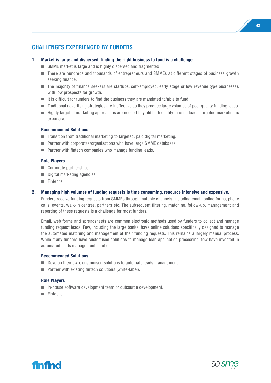# **CHALLENGES EXPERIENCED BY FUNDERS**

- **1. Market is large and dispersed, finding the right business to fund is a challenge.**
	- SMME market is large and is highly dispersed and fragmented.
	- There are hundreds and thousands of entrepreneurs and SMMEs at different stages of business growth seeking finance.
	- The majority of finance seekers are startups, self-employed, early stage or low revenue type businesses with low prospects for growth.
	- $\blacksquare$  It is difficult for funders to find the business they are mandated to/able to fund.
	- $\blacksquare$  Traditional advertising strategies are ineffective as they produce large volumes of poor quality funding leads.
	- $\blacksquare$  Highly targeted marketing approaches are needed to yield high quality funding leads, targeted marketing is expensive.

#### **Recommended Solutions**

- $\blacksquare$  Transition from traditional marketing to targeted, paid digital marketing.
- $\blacksquare$  Partner with corporates/organisations who have large SMME databases.
- $\blacksquare$  Partner with fintech companies who manage funding leads.

#### **Role Players**

- $\blacksquare$  Corporate partnerships.
- $\blacksquare$  Digital marketing agencies.
- Fintechs.
- **2. Managing high volumes of funding requests is time consuming, resource intensive and expensive.**

 Funders receive funding requests from SMMEs through multiple channels, including email, online forms, phone calls, events, walk-in centres, partners etc. The subsequent filtering, matching, follow-up, management and reporting of these requests is a challenge for most funders.

 Email, web forms and spreadsheets are common electronic methods used by funders to collect and manage funding request leads. Few, including the large banks, have online solutions specifically designed to manage the automated matching and management of their funding requests. This remains a largely manual process. While many funders have customised solutions to manage loan application processing, few have invested in automated leads management solutions.

#### **Recommended Solutions**

- $\blacksquare$  Develop their own, customised solutions to automate leads management.
- $\blacksquare$  Partner with existing fintech solutions (white-label).

- $\blacksquare$  In-house software development team or outsource development.
- Fintechs.



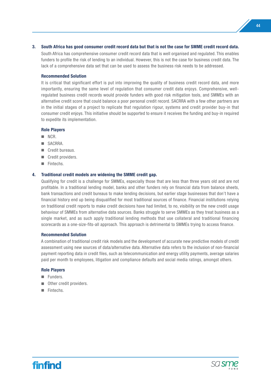#### **3. South Africa has good consumer credit record data but that is not the case for SMME credit record data.**

 South Africa has comprehensive consumer credit record data that is well organised and regulated. This enables funders to profile the risk of lending to an individual. However, this is not the case for business credit data. The lack of a comprehensive data set that can be used to assess the business risk needs to be addressed.

#### **Recommended Solution**

 It is critical that significant effort is put into improving the quality of business credit record data, and more importantly, ensuring the same level of regulation that consumer credit data enjoys. Comprehensive, wellregulated business credit records would provide funders with good risk mitigation tools, and SMMEs with an alternative credit score that could balance a poor personal credit record. SACRRA with a few other partners are in the initial stages of a project to replicate that regulation rigour, systems and credit provider buy-in that consumer credit enjoys. This initiative should be supported to ensure it receives the funding and buy-in required to expedite its implementation.

#### **Role Players**

- $NCR$ .
- n SACRRA.
- Credit bureaus.
- Credit providers.
- **n** Fintechs

#### **4. Traditional credit models are widening the SMME credit gap.**

 Qualifying for credit is a challenge for SMMEs, especially those that are less than three years old and are not profitable. In a traditional lending model, banks and other funders rely on financial data from balance sheets, bank transactions and credit bureaus to make lending decisions, but earlier stage businesses that don't have a financial history end up being disqualified for most traditional sources of finance. Financial institutions relying on traditional credit reports to make credit decisions have had limited, to no, visibility on the new credit usage behaviour of SMMEs from alternative data sources. Banks struggle to serve SMMEs as they treat business as a single market, and as such apply traditional lending methods that use collateral and traditional financing scorecards as a one-size-fits-all approach. This approach is detrimental to SMMEs trying to access finance.

#### **Recommended Solution**

 A combination of traditional credit risk models and the development of accurate new predictive models of credit assessment using new sources of data/alternative data. Alternative data refers to the inclusion of non-financial payment reporting data in credit files, such as telecommunication and energy utility payments, average salaries paid per month to employees, litigation and compliance defaults and social media ratings, amongst others.

- **n** Funders.
- Other credit providers.
- Fintechs.



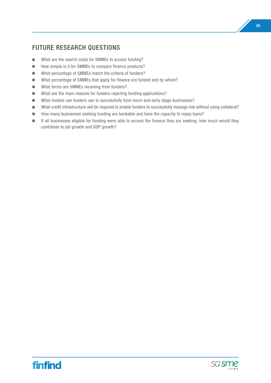# FUTURE RESEARCH QUESTIONS

- $\blacksquare$  What are the search costs for SMMEs to access funding?
- How simple is it for SMMEs to compare finance products?
- $\blacksquare$  What percentage of SMMEs match the criteria of funders?
- $\blacksquare$  What percentage of SMMEs that apply for finance are funded and by whom?
- What terms are SMMEs receiving from funders?
- $\blacksquare$  What are the main reasons for funders rejecting funding applications?
- What models can funders use to successfully fund micro and early stage businesses?
- What credit infrastructure will be required to enable funders to successfully manage risk without using collateral?
- $\blacksquare$  How many businesses seeking funding are bankable and have the capacity to repay loans?
- **n** If all businesses eligible for funding were able to access the finance they are seeking, how much would they contribute to job growth and GDP growth?

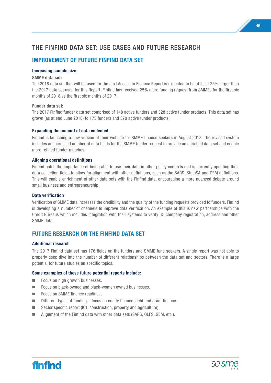# THE FINFIND DATA SET: USE CASES AND FUTURE RESEARCH

# **IMPROVEMENT OF FUTURE FINFIND DATA SET**

#### **Increasing sample size**

#### **SMME data set:**

The 2018 data set that will be used for the next Access to Finance Report is expected to be at least 25% larger than the 2017 data set used for this Report. Finfind has received 25% more funding request from SMMEs for the first six months of 2018 vs the first six months of 2017.

#### **Funder data set:**

The 2017 Finfind funder data set comprised of 148 active funders and 328 active funder products. This data set has grown (as at end June 2018) to 175 funders and 370 active funder products.

#### **Expanding the amount of data collected**

Finfind is launching a new version of their website for SMME finance seekers in August 2018. The revised system includes an increased number of data fields for the SMME funder request to provide an enriched data set and enable more refined funder matches.

#### **Aligning operational definitions**

Finfind notes the importance of being able to use their data in other policy contexts and is currently updating their data collection fields to allow for alignment with other definitions, such as the SARS, StatsSA and GEM definitions. This will enable enrichment of other data sets with the Finfind data, encouraging a more nuanced debate around small business and entrepreneurship.

#### **Data verification**

Verification of SMME data increases the credibility and the quality of the funding requests provided to funders. Finfind is developing a number of channels to improve data verification. An example of this is new partnerships with the Credit Bureaus which includes integration with their systems to verify ID, company registration, address and other SMME data.

# **FUTURE RESEARCH ON THE FINFIND DATA SET**

#### **Additional research**

The 2017 Finfind data set has 176 fields on the funders and SMME fund seekers. A single report was not able to properly deep dive into the number of different relationships between the data set and sectors. There is a large potential for future studies on specific topics.

#### **Some examples of these future potential reports include:**

- $\blacksquare$  Focus on high growth businesses.
- $\blacksquare$  Focus on black-owned and black-women owned businesses.
- Focus on SMME finance readiness.
- $\blacksquare$  Different types of funding focus on equity finance, debt and grant finance.
- $\blacksquare$  Sector specific report (ICT, construction, property and agriculture).
- $\blacksquare$  Alignment of the Finfind data with other data sets (SARS, QLFS, GEM, etc.).



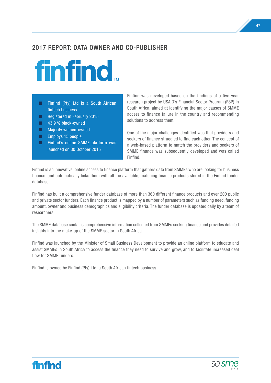# 2017 REPORT: DATA OWNER AND CO-PUBLISHER



- $\Box$  Finfind (Pty) Ltd is a South African fintech business
- $\Box$  Registered in February 2015
- 43.9 % black-owned
- $\Box$  Majority women-owned
- $\Box$  Employs 15 people
- $\Box$  Finfind's online SMME platform was launched on 30 October 2015

Finfind was developed based on the findings of a five-year research project by USAID's Financial Sector Program (FSP) in South Africa, aimed at identifying the major causes of SMME access to finance failure in the country and recommending solutions to address them.

One of the major challenges identified was that providers and seekers of finance struggled to find each other. The concept of a web-based platform to match the providers and seekers of SMME finance was subsequently developed and was called Finfind.

Finfind is an innovative, online access to finance platform that gathers data from SMMEs who are looking for business finance, and automatically links them with all the available, matching finance products stored in the Finfind funder database.

Finfind has built a comprehensive funder database of more than 360 different finance products and over 200 public and private sector funders. Each finance product is mapped by a number of parameters such as funding need, funding amount, owner and business demographics and eligibility criteria. The funder database is updated daily by a team of researchers.

The SMME database contains comprehensive information collected from SMMEs seeking finance and provides detailed insights into the make-up of the SMME sector in South Africa.

Finfind was launched by the Minister of Small Business Development to provide an online platform to educate and assist SMMEs in South Africa to access the finance they need to survive and grow, and to facilitate increased deal flow for SMME funders.

Finfind is owned by Finfind (Pty) Ltd, a South African fintech business.



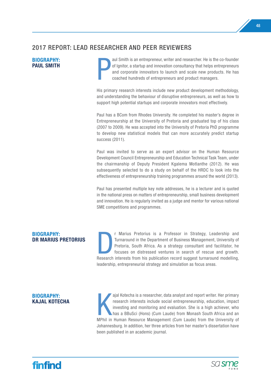# 2017 REPORT: LEAD RESEARCHER AND PEER REVIEWERS

# **BIOGRAPHY: PAUL SMITH<br>PAUL SMITH**

aul Smith is an entrepreneur, writer and researcher. He is the co-founder of Ignitor, a startup and innovation consultancy that helps entrepreneurs and corporate innovators to launch and scale new products. He has coached hundreds of entrepreneurs and product managers.

His primary research interests include new product development methodology, and understanding the behaviour of disruptive entrepreneurs, as well as how to support high potential startups and corporate innovators most effectively.

Paul has a BCom from Rhodes University. He completed his master's degree in Entrepreneurship at the University of Pretoria and graduated top of his class (2007 to 2009). He was accepted into the University of Pretoria PhD programme to develop new statistical models that can more accurately predict startup success (2011).

Paul was invited to serve as an expert advisor on the Human Resource Development Council Entrepreneurship and Education Technical Task Team, under the chairmanship of Deputy President Kgalema Motlanthe (2012). He was subsequently selected to do a study on behalf of the HRDC to look into the effectiveness of entrepreneurship training programmes around the world (2013).

Paul has presented multiple key note addresses, he is a lecturer and is quoted in the national press on matters of entrepreneurship, small business development and innovation. He is regularly invited as a judge and mentor for various national SME competitions and programmes.

## **BIOGRAPHY: DR MARIUS PRETORIUS**

r Marius Pretorius is a Professor in Strategy, Leadership and Turnaround in the Department of Business Management, University of Pretoria, South Africa. As a strategy consultant and facilitator, he focuses on distressed ventures in search of rescue and growth. Research interests from his publication record suggest turnaround modelling, leadership, entrepreneurial strategy and simulation as focus areas.

# **BIOGRAPHY:**<br>**KAJAL KOTECHA KAJAL KOTECHA**<br>**KAJAL KOTECHA**<br>MPhil in

ajal Kotecha is a researcher, data analyst and report writer. Her primary research interests include social entrepreneurship, education, impact investing and monitoring and evaluation. She is a high achiever, who has a BBuSci (Hons) (Cum Laude) from Monash South Africa and an MPhil in Human Resource Management (Cum Laude) from the University of Johannesburg. In addition, her three articles from her master's dissertation have been published in an academic journal.



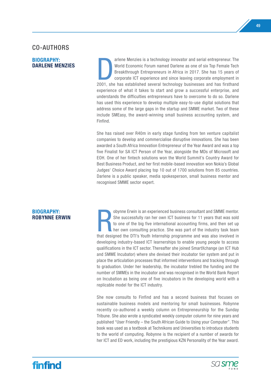# CO-AUTHORS

# **BIOGRAPHY:**

**BIOGRAPHY:**<br>DARLENE MENZIES<br>2001. sh arlene Menzies is a technology innovator and serial entrepreneur. The World Economic Forum named Darlene as one of six Top Female Tech Breakthrough Entrepreneurs in Africa in 2017. She has 15 years of corporate ICT experience and since leaving corporate employment in 2001, she has established several technology businesses and has firsthand experience of what it takes to start and grow a successful enterprise, and understands the difficulties entrepreneurs have to overcome to do so. Darlene has used this experience to develop multiple easy-to-use digital solutions that address some of the large gaps in the startup and SMME market. Two of these include SMEasy, the award-winning small business accounting system, and Finfind.

> She has raised over R40m in early stage funding from ten venture capitalist companies to develop and commercialise disruptive innovations. She has been awarded a South Africa Innovation Entrepreneur of the Year Award and was a top five Finalist for SA ICT Person of the Year, alongside the MDs of Microsoft and EOH. One of her fintech solutions won the World Summit's Country Award for Best Business Product, and her first mobile-based innovation won Nokia's Global Judges' Choice Award placing top 10 out of 1700 solutions from 85 countries. Darlene is a public speaker, media spokesperson, small business mentor and recognised SMME sector expert.

**RIOGRAPHY:**<br>**ROBYNNE ERWIN** obynne Erwin is an experienced business consultant and SMME mentor. She successfully ran her own ICT business for 11 years that was sold to one of the big five international accounting firms, and then set up her own consulting practice. She was part of the industry task team that designed the DTI's Youth Internship programme and was also involved in developing industry-based ICT learnerships to enable young people to access qualifications in the ICT sector. Thereafter she joined SmartXchange (an ICT Hub and SMME Incubator) where she devised their incubator tier system and put in place the articulation processes that informed interventions and tracking through to graduation. Under her leadership, the incubator trebled the funding and the number of SMMEs in the incubator and was recognised in the World Bank Report on Incubation as being one of five incubators in the developing world with a replicable model for the ICT industry.

> She now consults to Finfind and has a second business that focuses on sustainable business models and mentoring for small businesses. Robynne recently co-authored a weekly column on Entrepreneurship for the Sunday Tribune. She also wrote a syndicated weekly computer column for nine years and published "User Friendly – the South African Guide to Using your Computer". This book was used as a textbook at Technikons and Universities to introduce students to the world of computing. Robynne is the recipient of a number of awards for her ICT and ED work, including the prestigious KZN Personality of the Year award.

# **BIOGRAPHY:**

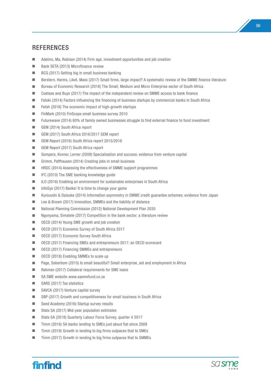# **REFERENCES**

- $\blacksquare$  Adelino, Ma, Robison (2014) Firm age, investment opportunities and job creation
- Bank SETA (2013) Microfinance review
- $\blacksquare$  BCG (2017) Getting big in small business banking
- Berstern, Harms, Liket, Mass (2017) Small firms, large impact? A systematic review of the SMME finance literature
- Bureau of Economic Research (2016) The Small, Medium and Micro Enterprise sector of South Africa
- Coetsee and Buys (2017) The impact of the independent review on SMME access to bank finance
- Fatoki (2014) Factors influencing the financing of business startups by commercial banks in South Africa
- $\blacksquare$  Fetsh (2016) The economic impact of high-growth startups
- FinMark (2010) FinScope small business survey 2010
- Futurewave (2014) 60% of family owned businesses struggle to find external finance to fund investment
- GEM (2014) South Africa report
- GEM (2017) South Africa 2016/2017 GEM report
- GEM Report (2016) South Africa report 2015/2016
- GEM Report (2017) South Africa report
- n Gompers, Kovner, Lerner (2009) Specialisation and success: evidence from venture capital
- Grimm, Paffhausen (2014) Creating jobs in small business
- $\blacksquare$  HRDC (2014) Assessing the effectiveness of SMME support programmes
- $\blacksquare$  IFC (2010) The SME banking knowledge guide
- ILO (2016) Enabling an environment for sustainable enterprises in South Africa
- $\blacksquare$  InfoSys (2017) Banks! It is time to change your game
- Kuniuoshi & Daisuke (2014) Information asymmetry in SMME credit guarantee schemes: evidence from Japan
- Lee & Brown (2017) Innovation, SMMEs and the liability of distance
- National Planning Commission (2012) National Development Plan 2030
- $\blacksquare$  Ngonyama, Simatele (2017) Competition in the bank sector: a literature review
- OECD (2014) Young SME growth and job creation
- OECD (2017) Economic Survey of South Africa 2017
- OECD (2017) Economic Survey South Africa
- OECD (2017) Financing SMEs and entrepreneurs 2017: an OECD scorecard
- OECD (2017) Financing SMMEs and entrepreneurs
- OECD (2018) Enabling SMMEs to scale up
- Page, Soberbom (2015) Is small beautiful? Small enterprise, aid and employment in Africa
- Rahman (2017) Collateral requirements for SME loans
- $\blacksquare$  SA SME website www.sasmefund.co.za
- $\blacksquare$  SARS (2017) Tax statistics
- $\blacksquare$  SAVCA (2017) Venture capital survey
- SBP (2017) Growth and competitiveness for small business in South Africa
- $\Box$  Seed Academy (2016) Startup survey results
- Stats SA (2017) Mid-year population estimates
- Stats SA (2018) Quarterly Labour Force Survey, quarter 4 2017
- Timm (2016) SA banks lending to SMEs just about flat since 2008
- Timm (2018) Growth in lending to big firms outpaces that to SMEs
- $\blacksquare$  Timm (2017) Growth in lending to big firms outpaces that to SMMEs